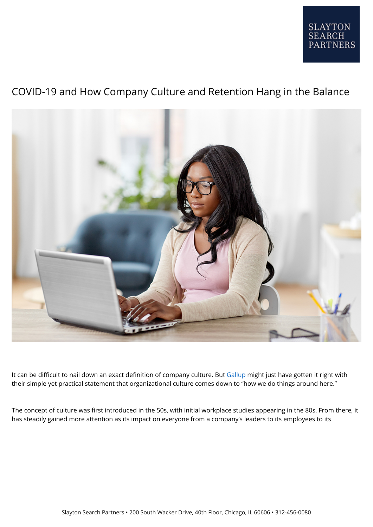

# COVID-19 and How Company Culture and Retention Hang in the Balance



It can be difficult to nail down an exact definition of company culture. But [Gallup](https://www.gallup.com/workplace/232682/culture-paper-2018.aspx) might just have gotten it right with their simple yet practical statement that organizational culture comes down to "how we do things around here."

The concept of culture was first introduced in the 50s, with initial workplace studies appearing in the 80s. From there, it has steadily gained more attention as its impact on everyone from a company's leaders to its employees to its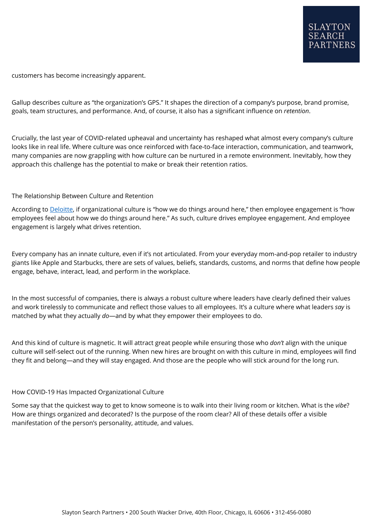customers has become increasingly apparent.

Gallup describes culture as "the organization's GPS." It shapes the direction of a company's purpose, brand promise, goals, team structures, and performance. And, of course, it also has a significant influence on *retention*.

Crucially, the last year of COVID-related upheaval and uncertainty has reshaped what almost every company's culture looks like in real life. Where culture was once reinforced with face-to-face interaction, communication, and teamwork, many companies are now grappling with how culture can be nurtured in a remote environment. Inevitably, how they approach this challenge has the potential to make or break their retention ratios.

#### The Relationship Between Culture and Retention

According to **[Deloitte](https://www2.deloitte.com/us/en/insights/focus/human-capital-trends/2016/employee-engagement-and-retention.html)**, if organizational culture is "how we do things around here," then employee engagement is "how employees feel about how we do things around here." As such, culture drives employee engagement. And employee engagement is largely what drives retention.

Every company has an innate culture, even if it's not articulated. From your everyday mom-and-pop retailer to industry giants like Apple and Starbucks, there are sets of values, beliefs, standards, customs, and norms that define how people engage, behave, interact, lead, and perform in the workplace.

In the most successful of companies, there is always a robust culture where leaders have clearly defined their values and work tirelessly to communicate and reflect those values to all employees. It's a culture where what leaders *say* is matched by what they actually *do*—and by what they empower their employees to do.

And this kind of culture is magnetic. It will attract great people while ensuring those who *don't* align with the unique culture will self-select out of the running. When new hires are brought on with this culture in mind, employees will find they fit and belong—and they will stay engaged. And those are the people who will stick around for the long run.

#### How COVID-19 Has Impacted Organizational Culture

Some say that the quickest way to get to know someone is to walk into their living room or kitchen. What is the *vibe*? How are things organized and decorated? Is the purpose of the room clear? All of these details offer a visible manifestation of the person's personality, attitude, and values.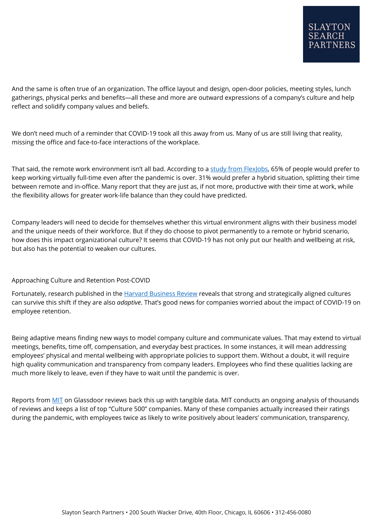And the same is often true of an organization. The office layout and design, open-door policies, meeting styles, lunch gatherings, physical perks and benefits—all these and more are outward expressions of a company's culture and help reflect and solidify company values and beliefs.

We don't need much of a reminder that COVID-19 took all this away from us. Many of us are still living that reality, missing the office and face-to-face interactions of the workplace.

That said, the remote work environment isn't all bad. According to a [study from FlexJobs,](https://www.fastcompany.com/90572072/recruiting-remote-workers-is-different-heres-how-to-tackle-the-first-step) 65% of people would prefer to keep working virtually full-time even after the pandemic is over. 31% would prefer a hybrid situation, splitting their time between remote and in-office. Many report that they are just as, if not more, productive with their time at work, while the flexibility allows for greater work-life balance than they could have predicted.

Company leaders will need to decide for themselves whether this virtual environment aligns with their business model and the unique needs of their workforce. But if they do choose to pivot permanently to a remote or hybrid scenario, how does this impact organizational culture? It seems that COVID-19 has not only put our health and wellbeing at risk, but also has the potential to weaken our cultures.

## Approaching Culture and Retention Post-COVID

Fortunately, research published in the [Harvard Business Review](https://hbr.org/2020/08/dont-let-the-pandemic-sink-your-company-culture) reveals that strong and strategically aligned cultures can survive this shift if they are also *adaptive*. That's good news for companies worried about the impact of COVID-19 on employee retention.

Being adaptive means finding new ways to model company culture and communicate values. That may extend to virtual meetings, benefits, time off, compensation, and everyday best practices. In some instances, it will mean addressing employees' physical and mental wellbeing with appropriate policies to support them. Without a doubt, it will require high quality communication and transparency from company leaders. Employees who find these qualities lacking are much more likely to leave, even if they have to wait until the pandemic is over.

Reports from [MIT](https://sloanreview.mit.edu/article/how-companies-are-winning-on-culture-during-covid-19/) on Glassdoor reviews back this up with tangible data. MIT conducts an ongoing analysis of thousands of reviews and keeps a list of top "Culture 500" companies. Many of these companies actually increased their ratings during the pandemic, with employees twice as likely to write positively about leaders' communication, transparency,